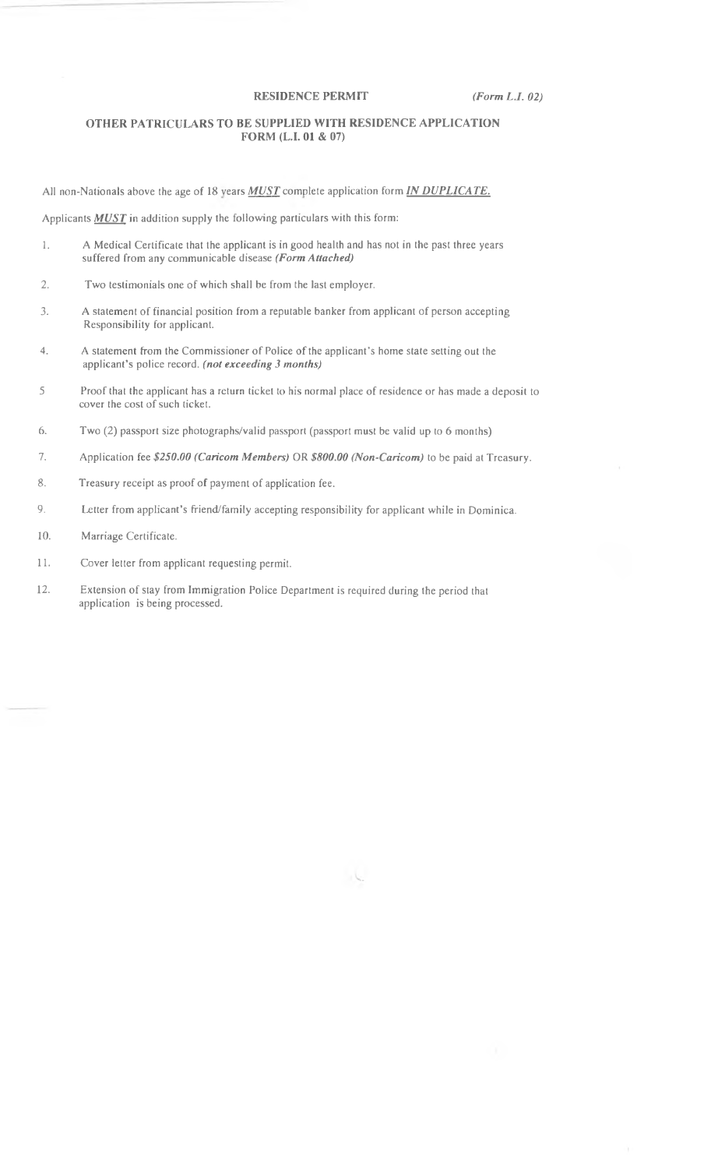## **RESIDENCE PERMIT** *(Form L.I. 02)*

## **OTHER PATRICULARS TO BE SUPPLIED WITH RESIDENCE APPLICATION FORM (L.I. 01 & 07)**

All non-Nationals above the age of 18 years *MUST* complete application form *IN DUPLICATE*.

Applicants **MUST** in addition supply the following particulars with this form:

- 1. A Medical Certificate that the applicant is in good health and has not in the past three years suffered from any communicable disease *(Form Attached)*
- 2. Two testimonials one of which shall be from the last employer.
- 3. A statement of financial position from a reputable banker from applicant of person accepting Responsibility for applicant.
- 4. A statement from the Commissioner of Police of the applicant's home state setting out the applicant's police record, *(not exceeding 3 months)*
- 5 Proof that the applicant has a return ticket to his normal place of residence or has made a deposit to cover the cost of such ticket.
- 6. Two (2) passport size photographs/valid passport (passport must be valid up to 6 months)
- 7. Application fee *\$250.00 (Caricom Members)* OR *\$800.00 (Non-Caricom)* to be paid at Treasury.
- 8. Treasury receipt as proof of payment of application fee.
- 9. Letter from applicant's friend/family accepting responsibility for applicant while in Dominica.
- 10. Marriage Certificate.
- 11. Cover letter from applicant requesting permit.
- 12. Extension of stay from Immigration Police Department is required during the period that application is being processed.

- 6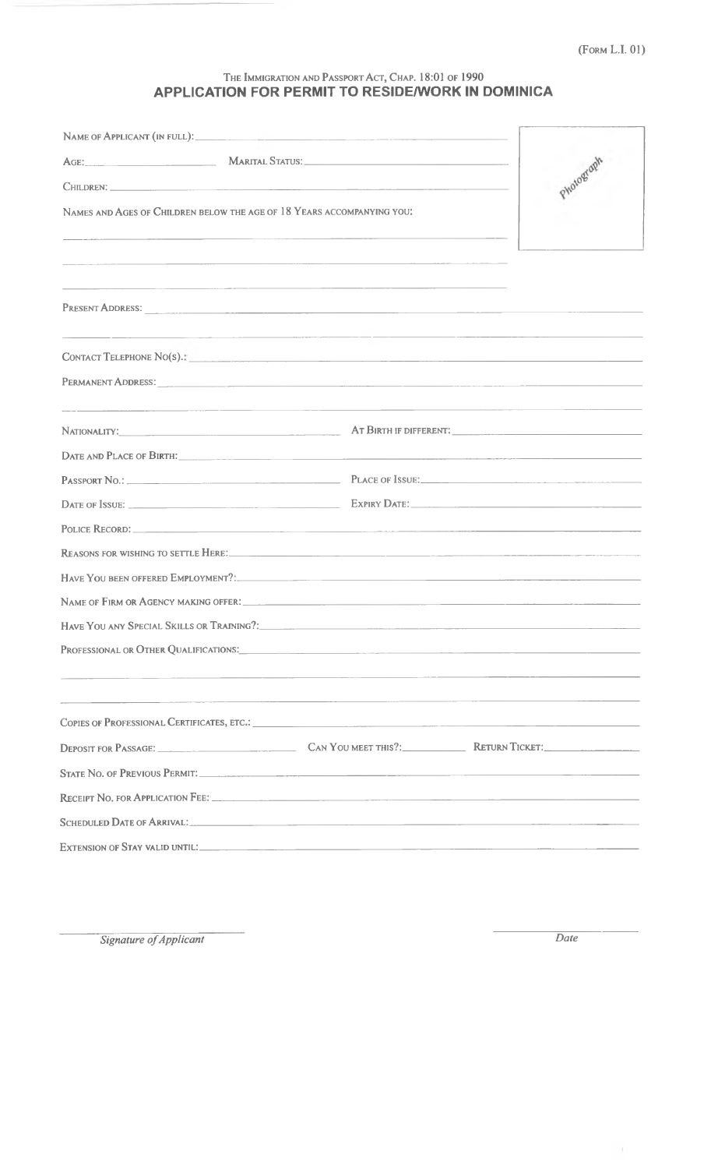## THE IMMIGRATION AND PASSPORT ACT, CHAP. 18:01 OF 1990<br>APPLICATION FOR PERMIT TO RESIDE/WORK IN DOMINICA

| NAMES AND AGES OF CHILDREN BELOW THE AGE OF 18 YEARS ACCOMPANYING YOU: |                                                                                                                                                                                                                                |  |
|------------------------------------------------------------------------|--------------------------------------------------------------------------------------------------------------------------------------------------------------------------------------------------------------------------------|--|
|                                                                        | <u> 1980 - Jan Samuel Barbara, margaret eta bat zen bat zen bat zen bat zen bat zen bat zen bat zen bat zen bat z</u>                                                                                                          |  |
|                                                                        | <u> 1980 - Johann Harry Harry Harry Harry Harry Harry Harry Harry Harry Harry Harry Harry Harry Harry Harry Harry</u>                                                                                                          |  |
|                                                                        |                                                                                                                                                                                                                                |  |
|                                                                        | CONTACT TELEPHONE NO(S).: University of the contract of the contract of the contract of the contract of the contract of the contract of the contract of the contract of the contract of the contract of the contract of the co |  |
|                                                                        |                                                                                                                                                                                                                                |  |
|                                                                        | NATIONALITY: AT BIRTH IF DIFFERENT: A LONGITY:                                                                                                                                                                                 |  |
|                                                                        |                                                                                                                                                                                                                                |  |
|                                                                        |                                                                                                                                                                                                                                |  |
|                                                                        |                                                                                                                                                                                                                                |  |
|                                                                        |                                                                                                                                                                                                                                |  |
|                                                                        | REASONS FOR WISHING TO SETTLE HERE: The contract of the contract of the contract of the contract of the contract of the contract of the contract of the contract of the contract of the contract of the contract of the contra |  |
|                                                                        | HAVE YOU BEEN OFFERED EMPLOYMENT?                                                                                                                                                                                              |  |
|                                                                        | NAME OF FIRM OR AGENCY MAKING OFFER: The Material Contract of the Contract of the Contract of the Contract of the Contract of the Contract of the Contract of the Contract of the Contract of the Contract of the Contract of  |  |
|                                                                        | HAVE YOU ANY SPECIAL SKILLS OR TRAINING?                                                                                                                                                                                       |  |
|                                                                        | PROFESSIONAL OR OTHER QUALIFICATIONS: PROFESSIONAL OR OTHER ASSESSIONAL CONTRACT ON A SERVICE OF A SERVICE OF STRAIN AND THE STRAIN OF STRAIN AND THE STRAIN AND THE STRAIN OF STRAINING AND THE STRAINING OF A STRAINING OF A |  |
| the control of the control of the control of                           |                                                                                                                                                                                                                                |  |
|                                                                        | DEPOSIT FOR PASSAGE: CAN YOU MEET THIS ?: RETURN TICKET:                                                                                                                                                                       |  |
|                                                                        | STATE NO. OF PREVIOUS PERMIT.                                                                                                                                                                                                  |  |
|                                                                        |                                                                                                                                                                                                                                |  |
|                                                                        | SCHEDULED DATE OF ARRIVAL:                                                                                                                                                                                                     |  |
|                                                                        |                                                                                                                                                                                                                                |  |

Signature of Applicant

 $\overline{Date}$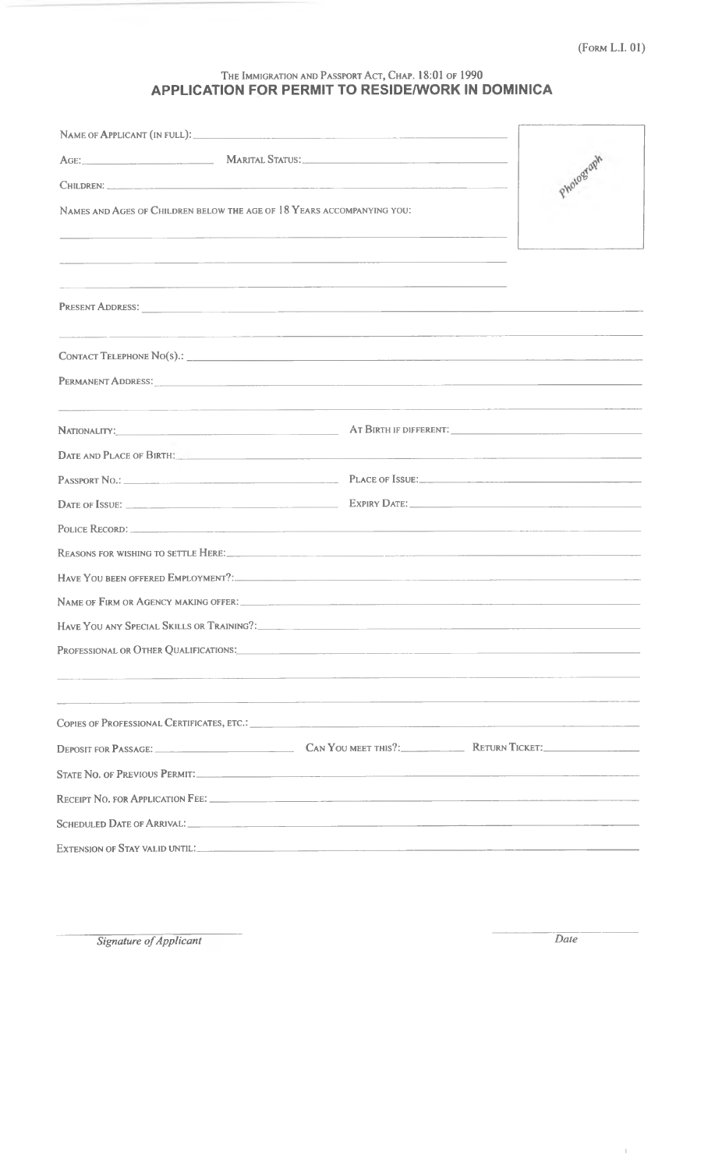## THE IMMIGRATION AND PASSPORT ACT, CHAP. 18:01 OF 1990<br>APPLICATION FOR PERMIT TO RESIDE/WORK IN DOMINICA

| NAME OF APPLICANT (IN FULL): The contract of the contract of the contract of the contract of the contract of the contract of the contract of the contract of the contract of the contract of the contract of the contract of t |                                                           |                                                                                                                                                                                                                                |                                                                                                                       |  |
|--------------------------------------------------------------------------------------------------------------------------------------------------------------------------------------------------------------------------------|-----------------------------------------------------------|--------------------------------------------------------------------------------------------------------------------------------------------------------------------------------------------------------------------------------|-----------------------------------------------------------------------------------------------------------------------|--|
|                                                                                                                                                                                                                                |                                                           | AGE: MARITAL STATUS: NARITAL STATUS:                                                                                                                                                                                           |                                                                                                                       |  |
|                                                                                                                                                                                                                                |                                                           | Photograph                                                                                                                                                                                                                     |                                                                                                                       |  |
| NAMES AND AGES OF CHILDREN BELOW THE AGE OF 18 YEARS ACCOMPANYING YOU:                                                                                                                                                         |                                                           |                                                                                                                                                                                                                                |                                                                                                                       |  |
|                                                                                                                                                                                                                                |                                                           |                                                                                                                                                                                                                                |                                                                                                                       |  |
|                                                                                                                                                                                                                                |                                                           |                                                                                                                                                                                                                                |                                                                                                                       |  |
|                                                                                                                                                                                                                                |                                                           |                                                                                                                                                                                                                                |                                                                                                                       |  |
|                                                                                                                                                                                                                                |                                                           |                                                                                                                                                                                                                                |                                                                                                                       |  |
|                                                                                                                                                                                                                                |                                                           |                                                                                                                                                                                                                                |                                                                                                                       |  |
|                                                                                                                                                                                                                                |                                                           |                                                                                                                                                                                                                                |                                                                                                                       |  |
|                                                                                                                                                                                                                                |                                                           |                                                                                                                                                                                                                                | <u> 1980 - Andrea State Barbara, amerikan personal di sebagai personal di sebagai personal di sebagai personal di</u> |  |
|                                                                                                                                                                                                                                |                                                           | DATE AND PLACE OF BIRTH.                                                                                                                                                                                                       |                                                                                                                       |  |
|                                                                                                                                                                                                                                |                                                           |                                                                                                                                                                                                                                |                                                                                                                       |  |
|                                                                                                                                                                                                                                |                                                           |                                                                                                                                                                                                                                |                                                                                                                       |  |
|                                                                                                                                                                                                                                |                                                           |                                                                                                                                                                                                                                |                                                                                                                       |  |
|                                                                                                                                                                                                                                |                                                           |                                                                                                                                                                                                                                |                                                                                                                       |  |
|                                                                                                                                                                                                                                |                                                           | HAVE YOU BEEN OFFERED EMPLOYMENT?:                                                                                                                                                                                             |                                                                                                                       |  |
|                                                                                                                                                                                                                                |                                                           | NAME OF FIRM OR AGENCY MAKING OFFER: University of the contract of the contract of the contract of the contract of the contract of the contract of the contract of the contract of the contract of the contract of the contrac |                                                                                                                       |  |
|                                                                                                                                                                                                                                |                                                           |                                                                                                                                                                                                                                |                                                                                                                       |  |
|                                                                                                                                                                                                                                |                                                           | PROFESSIONAL OR OTHER QUALIFICATIONS: Under the contract of the contract of the contract of the contract of the contract of the contract of the contract of the contract of the contract of the contract of the contract of th |                                                                                                                       |  |
|                                                                                                                                                                                                                                | <u> 1989 - John Stein, Amerikaansk politiker (* 1908)</u> |                                                                                                                                                                                                                                |                                                                                                                       |  |
|                                                                                                                                                                                                                                |                                                           |                                                                                                                                                                                                                                |                                                                                                                       |  |
|                                                                                                                                                                                                                                |                                                           |                                                                                                                                                                                                                                |                                                                                                                       |  |
|                                                                                                                                                                                                                                |                                                           |                                                                                                                                                                                                                                |                                                                                                                       |  |
|                                                                                                                                                                                                                                |                                                           |                                                                                                                                                                                                                                |                                                                                                                       |  |
|                                                                                                                                                                                                                                |                                                           | SCHEDULED DATE OF ARRIVAL:                                                                                                                                                                                                     |                                                                                                                       |  |
|                                                                                                                                                                                                                                |                                                           |                                                                                                                                                                                                                                |                                                                                                                       |  |

Signature of Applicant

Date